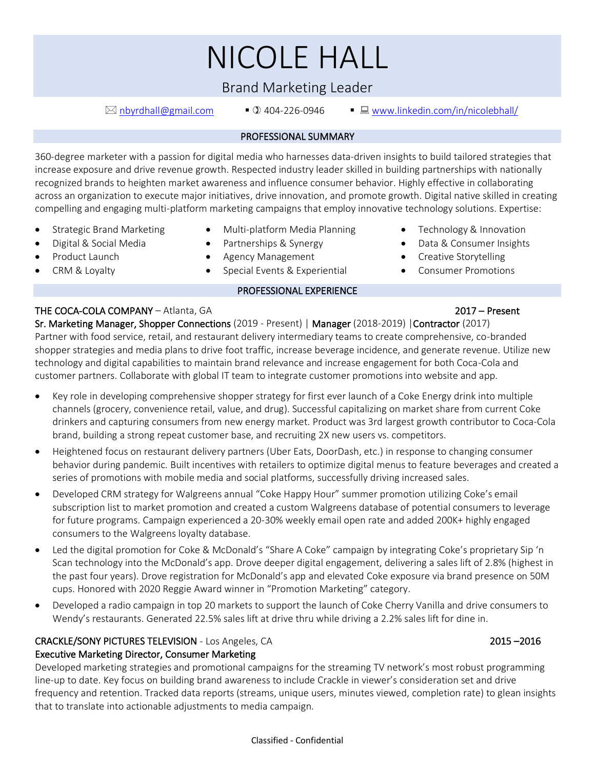# NICOLE HALL

## Brand Marketing Leader

 $\boxtimes$  [nbyrdhall@gmail.com](mailto:nbyrdhall@gmail.com)  $\Box$  404-226-0946  $\Box$  [www.linkedin.com/in/nicolebhall/](http://www.linkedin.com/in/nicolebhall/)

#### PROFESSIONAL SUMMARY

360-degree marketer with a passion for digital media who harnesses data-driven insights to build tailored strategies that increase exposure and drive revenue growth. Respected industry leader skilled in building partnerships with nationally recognized brands to heighten market awareness and influence consumer behavior. Highly effective in collaborating across an organization to execute major initiatives, drive innovation, and promote growth. Digital native skilled in creating compelling and engaging multi-platform marketing campaigns that employ innovative technology solutions. Expertise:

- Strategic Brand Marketing Multi-platform Media Planning Technology & Innovation
	- Digital & Social Media Partnerships & Synergy Data & Consumer Insights
- Product Launch
- 
- CRM & Loyalty
- Agency Management
- Special Events & Experiential

#### PROFESSIONAL EXPERIENCE

• Creative Storytelling • Consumer Promotions

### THE COCA-COLA COMPANY – Atlanta, GA 2017 – Present

Sr. Marketing Manager, Shopper Connections (2019 - Present) | Manager (2018-2019) |Contractor (2017) Partner with food service, retail, and restaurant delivery intermediary teams to create comprehensive, co-branded shopper strategies and media plans to drive foot traffic, increase beverage incidence, and generate revenue. Utilize new technology and digital capabilities to maintain brand relevance and increase engagement for both Coca-Cola and customer partners. Collaborate with global IT team to integrate customer promotions into website and app.

- Key role in developing comprehensive shopper strategy for first ever launch of a Coke Energy drink into multiple channels (grocery, convenience retail, value, and drug). Successful capitalizing on market share from current Coke drinkers and capturing consumers from new energy market. Product was 3rd largest growth contributor to Coca-Cola brand, building a strong repeat customer base, and recruiting 2X new users vs. competitors.
- Heightened focus on restaurant delivery partners (Uber Eats, DoorDash, etc.) in response to changing consumer behavior during pandemic. Built incentives with retailers to optimize digital menus to feature beverages and created a series of promotions with mobile media and social platforms, successfully driving increased sales.
- Developed CRM strategy for Walgreens annual "Coke Happy Hour" summer promotion utilizing Coke's email subscription list to market promotion and created a custom Walgreens database of potential consumers to leverage for future programs. Campaign experienced a 20-30% weekly email open rate and added 200K+ highly engaged consumers to the Walgreens loyalty database.
- Led the digital promotion for Coke & McDonald's "Share A Coke" campaign by integrating Coke's proprietary Sip 'n Scan technology into the McDonald's app. Drove deeper digital engagement, delivering a sales lift of 2.8% (highest in the past four years). Drove registration for McDonald's app and elevated Coke exposure via brand presence on 50M cups. Honored with 2020 Reggie Award winner in "Promotion Marketing" category.
- Developed a radio campaign in top 20 markets to support the launch of Coke Cherry Vanilla and drive consumers to Wendy's restaurants. Generated 22.5% sales lift at drive thru while driving a 2.2% sales lift for dine in.

### CRACKLE/SONY PICTURES TELEVISION - Los Angeles, CA 2015 –2016

### Executive Marketing Director, Consumer Marketing

Developed marketing strategies and promotional campaigns for the streaming TV network's most robust programming line-up to date. Key focus on building brand awareness to include Crackle in viewer's consideration set and drive frequency and retention. Tracked data reports (streams, unique users, minutes viewed, completion rate) to glean insights that to translate into actionable adjustments to media campaign.